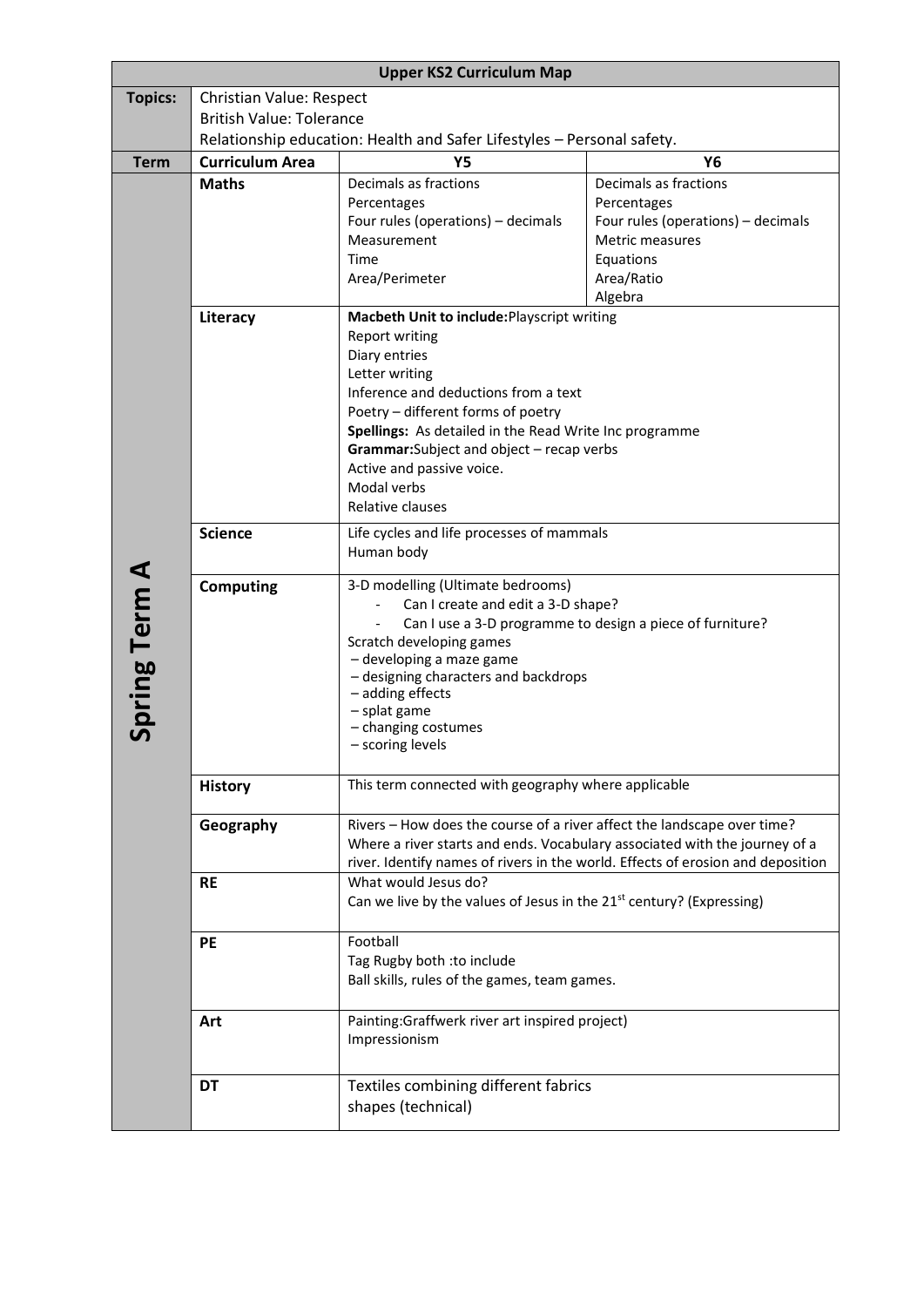| <b>Upper KS2 Curriculum Map</b> |                                                                                                     |                                                                                  |                                                                                 |  |
|---------------------------------|-----------------------------------------------------------------------------------------------------|----------------------------------------------------------------------------------|---------------------------------------------------------------------------------|--|
| <b>Topics:</b>                  | <b>Christian Value: Respect</b>                                                                     |                                                                                  |                                                                                 |  |
|                                 | <b>British Value: Tolerance</b>                                                                     |                                                                                  |                                                                                 |  |
|                                 | Relationship education: Health and Safer Lifestyles - Personal safety.                              |                                                                                  |                                                                                 |  |
| <b>Term</b>                     | <b>Curriculum Area</b>                                                                              | Υ5                                                                               | <b>Y6</b>                                                                       |  |
|                                 | <b>Maths</b>                                                                                        | Decimals as fractions                                                            | Decimals as fractions                                                           |  |
|                                 |                                                                                                     | Percentages                                                                      | Percentages                                                                     |  |
|                                 |                                                                                                     | Four rules (operations) - decimals                                               | Four rules (operations) - decimals                                              |  |
|                                 |                                                                                                     | Measurement                                                                      | Metric measures                                                                 |  |
|                                 |                                                                                                     | Time                                                                             | Equations                                                                       |  |
|                                 |                                                                                                     | Area/Perimeter                                                                   | Area/Ratio<br>Algebra                                                           |  |
|                                 | Literacy                                                                                            | Macbeth Unit to include: Playscript writing                                      |                                                                                 |  |
|                                 |                                                                                                     | <b>Report writing</b>                                                            |                                                                                 |  |
|                                 |                                                                                                     | Diary entries                                                                    |                                                                                 |  |
|                                 |                                                                                                     | Letter writing                                                                   |                                                                                 |  |
|                                 |                                                                                                     | Inference and deductions from a text                                             |                                                                                 |  |
|                                 |                                                                                                     | Poetry - different forms of poetry                                               |                                                                                 |  |
|                                 | Spellings: As detailed in the Read Write Inc programme<br>Grammar: Subject and object - recap verbs |                                                                                  |                                                                                 |  |
|                                 |                                                                                                     |                                                                                  |                                                                                 |  |
|                                 |                                                                                                     | Active and passive voice.                                                        |                                                                                 |  |
|                                 |                                                                                                     | Modal verbs<br>Relative clauses                                                  |                                                                                 |  |
|                                 |                                                                                                     |                                                                                  |                                                                                 |  |
|                                 | <b>Science</b><br>Life cycles and life processes of mammals                                         |                                                                                  |                                                                                 |  |
|                                 |                                                                                                     | Human body                                                                       |                                                                                 |  |
| <b>Spring Term A</b>            | <b>Computing</b>                                                                                    | 3-D modelling (Ultimate bedrooms)                                                |                                                                                 |  |
|                                 | Can I create and edit a 3-D shape?<br>Can I use a 3-D programme to design a piece of furniture?     |                                                                                  |                                                                                 |  |
|                                 |                                                                                                     |                                                                                  |                                                                                 |  |
|                                 |                                                                                                     | Scratch developing games<br>- developing a maze game                             |                                                                                 |  |
|                                 |                                                                                                     | - designing characters and backdrops                                             |                                                                                 |  |
|                                 |                                                                                                     | - adding effects<br>- splat game                                                 |                                                                                 |  |
|                                 |                                                                                                     |                                                                                  |                                                                                 |  |
|                                 |                                                                                                     | - changing costumes<br>- scoring levels                                          |                                                                                 |  |
|                                 |                                                                                                     |                                                                                  |                                                                                 |  |
|                                 | <b>History</b>                                                                                      | This term connected with geography where applicable                              |                                                                                 |  |
|                                 | Geography                                                                                           | Rivers - How does the course of a river affect the landscape over time?          |                                                                                 |  |
|                                 |                                                                                                     | Where a river starts and ends. Vocabulary associated with the journey of a       |                                                                                 |  |
|                                 |                                                                                                     |                                                                                  | river. Identify names of rivers in the world. Effects of erosion and deposition |  |
|                                 | <b>RE</b>                                                                                           | What would Jesus do?                                                             |                                                                                 |  |
|                                 |                                                                                                     | Can we live by the values of Jesus in the 21 <sup>st</sup> century? (Expressing) |                                                                                 |  |
|                                 | PE                                                                                                  | Football                                                                         |                                                                                 |  |
|                                 |                                                                                                     | Tag Rugby both : to include                                                      |                                                                                 |  |
|                                 |                                                                                                     | Ball skills, rules of the games, team games.                                     |                                                                                 |  |
|                                 | Art                                                                                                 | Painting:Graffwerk river art inspired project)                                   |                                                                                 |  |
|                                 |                                                                                                     | Impressionism                                                                    |                                                                                 |  |
|                                 | <b>DT</b>                                                                                           | Textiles combining different fabrics                                             |                                                                                 |  |
|                                 |                                                                                                     | shapes (technical)                                                               |                                                                                 |  |
|                                 |                                                                                                     |                                                                                  |                                                                                 |  |